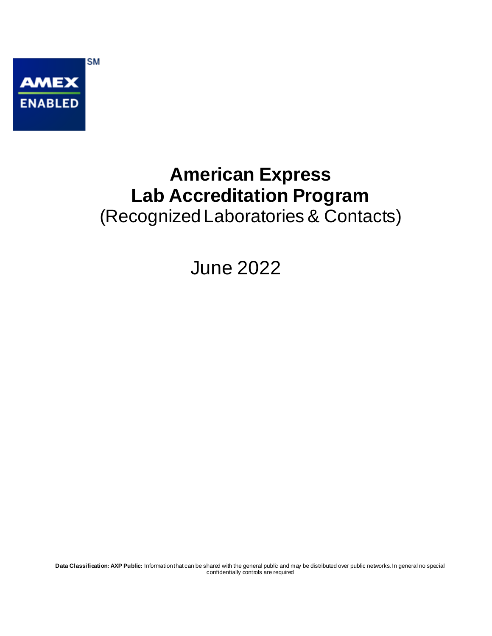

## **American Express Lab Accreditation Program** (Recognized Laboratories & Contacts)

June 2022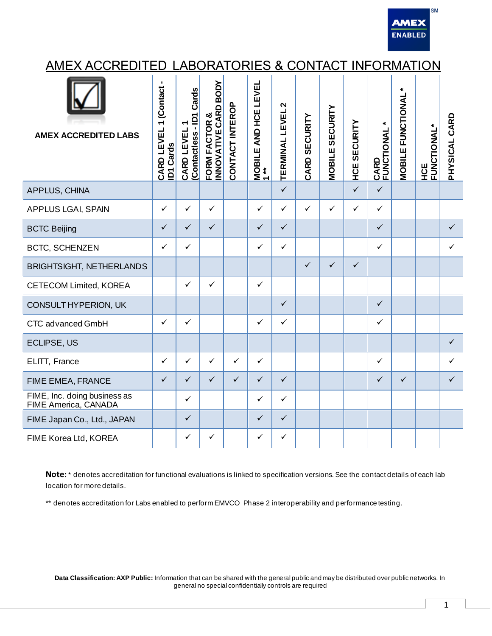

## AMEX ACCREDITED LABORATORIES & CONTACT INFORMATION

| <b>AMEX ACCREDITED LABS</b>                          | 1 (Contact-<br>CARD LEVEL<br><b>ID1 Cards</b> | (Contactless - ID1 Cards<br>CARD LEVEL | <b>BODY</b><br>INNOVATIVE CARD<br>FORM FACTOR & | CONTACT INTEROP | AND HCE LEVEL<br>$\begin{array}{c} \mathsf{MOBILE}\ \mathsf{A} \\ \mathsf{A} \end{array}$ | $\mathbf{\Omega}$<br><b>TERMINAL LEVEL</b> | CARD SECURITY | <b>MOBILE SECURITY</b> | <b>HCE SECURITY</b> | <b>CARD<br/>FUNCTIONAL *</b> | $\pmb{\ast}$<br><b>MOBILE FUNCTIONAL</b> | <b>HCE<br/>FUNCTIONAL*</b> | PHYSICAL CARD |
|------------------------------------------------------|-----------------------------------------------|----------------------------------------|-------------------------------------------------|-----------------|-------------------------------------------------------------------------------------------|--------------------------------------------|---------------|------------------------|---------------------|------------------------------|------------------------------------------|----------------------------|---------------|
| APPLUS, CHINA                                        |                                               |                                        |                                                 |                 |                                                                                           | $\checkmark$                               |               |                        | $\checkmark$        | $\checkmark$                 |                                          |                            |               |
| <b>APPLUS LGAI, SPAIN</b>                            | $\checkmark$                                  | $\checkmark$                           | $\checkmark$                                    |                 | $\checkmark$                                                                              | $\checkmark$                               | $\checkmark$  | $\checkmark$           | $\checkmark$        | $\checkmark$                 |                                          |                            |               |
| <b>BCTC Beijing</b>                                  | $\checkmark$                                  | $\checkmark$                           | $\checkmark$                                    |                 | $\checkmark$                                                                              | $\checkmark$                               |               |                        |                     | $\checkmark$                 |                                          |                            | $\checkmark$  |
| <b>BCTC, SCHENZEN</b>                                | $\checkmark$                                  | ✓                                      |                                                 |                 | $\checkmark$                                                                              | $\checkmark$                               |               |                        |                     | $\checkmark$                 |                                          |                            | ✓             |
| <b>BRIGHTSIGHT, NETHERLANDS</b>                      |                                               |                                        |                                                 |                 |                                                                                           |                                            | $\checkmark$  | $\checkmark$           | $\checkmark$        |                              |                                          |                            |               |
| <b>CETECOM Limited, KOREA</b>                        |                                               | $\checkmark$                           | $\checkmark$                                    |                 | $\checkmark$                                                                              |                                            |               |                        |                     |                              |                                          |                            |               |
| CONSULT HYPERION, UK                                 |                                               |                                        |                                                 |                 |                                                                                           | $\checkmark$                               |               |                        |                     | $\checkmark$                 |                                          |                            |               |
| CTC advanced GmbH                                    | $\checkmark$                                  | $\checkmark$                           |                                                 |                 | $\checkmark$                                                                              | $\checkmark$                               |               |                        |                     | $\checkmark$                 |                                          |                            |               |
| ECLIPSE, US                                          |                                               |                                        |                                                 |                 |                                                                                           |                                            |               |                        |                     |                              |                                          |                            | $\checkmark$  |
| ELITT, France                                        | $\checkmark$                                  | $\checkmark$                           | $\checkmark$                                    | $\checkmark$    | $\checkmark$                                                                              |                                            |               |                        |                     | $\checkmark$                 |                                          |                            |               |
| FIME EMEA, FRANCE                                    | $\checkmark$                                  | $\checkmark$                           | $\checkmark$                                    | $\checkmark$    | $\checkmark$                                                                              | $\checkmark$                               |               |                        |                     | $\checkmark$                 | $\checkmark$                             |                            | $\checkmark$  |
| FIME, Inc. doing business as<br>FIME America, CANADA |                                               | $\checkmark$                           |                                                 |                 | $\checkmark$                                                                              | $\checkmark$                               |               |                        |                     |                              |                                          |                            |               |
| FIME Japan Co., Ltd., JAPAN                          |                                               | $\checkmark$                           |                                                 |                 | $\checkmark$                                                                              | $\checkmark$                               |               |                        |                     |                              |                                          |                            |               |
| FIME Korea Ltd, KOREA                                |                                               | $\checkmark$                           | $\checkmark$                                    |                 | ✓                                                                                         | $\checkmark$                               |               |                        |                     |                              |                                          |                            |               |

**Note:** \* denotes accreditation for functional evaluations is linked to specification versions. See the contact details of each lab location for more details.

\*\* denotes accreditation for Labs enabled to perform EMVCO Phase 2 interoperability and performance testing.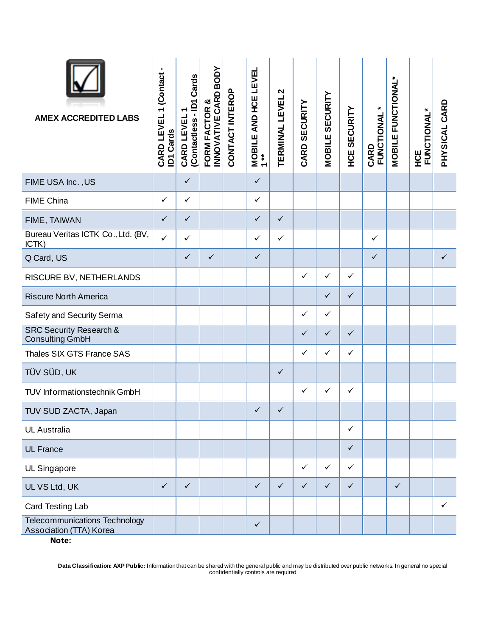| <b>AMEX ACCREDITED LABS</b>                                              | CARD LEVEL 1 (Contact -<br><b>ID1 Cards</b> | (Contactless - ID1 Cards<br>CARD LEVEL | FORM FACTOR &<br>INNOVATIVE CARD BODY | CONTACT INTEROP | <b>MOBILE AND HCE LEVEL<br/>1**</b> | $\boldsymbol{\mathsf{N}}$<br><b>TERMINAL LEVEL</b> | CARD SECURITY | <b>MOBILE SECURITY</b> | <b>HCE SECURITY</b> | FUNCTIONAL*<br>CARD | MOBILE FUNCTIONAL* | <b>HCE<br/>FUNCTIONAL*</b> | PHYSICAL CARD |
|--------------------------------------------------------------------------|---------------------------------------------|----------------------------------------|---------------------------------------|-----------------|-------------------------------------|----------------------------------------------------|---------------|------------------------|---------------------|---------------------|--------------------|----------------------------|---------------|
| FIME USA Inc., US                                                        |                                             | $\checkmark$                           |                                       |                 | $\checkmark$                        |                                                    |               |                        |                     |                     |                    |                            |               |
| <b>FIME China</b>                                                        | $\checkmark$                                | $\checkmark$                           |                                       |                 | $\checkmark$                        |                                                    |               |                        |                     |                     |                    |                            |               |
| FIME, TAIWAN                                                             | $\checkmark$                                | $\checkmark$                           |                                       |                 | $\checkmark$                        | $\checkmark$                                       |               |                        |                     |                     |                    |                            |               |
| Bureau Veritas ICTK Co., Ltd. (BV,<br>ICTK)                              | $\checkmark$                                | $\checkmark$                           |                                       |                 | $\checkmark$                        | $\checkmark$                                       |               |                        |                     | ✓                   |                    |                            |               |
| Q Card, US                                                               |                                             | $\checkmark$                           | $\checkmark$                          |                 | $\checkmark$                        |                                                    |               |                        |                     | $\checkmark$        |                    |                            | $\checkmark$  |
| RISCURE BV, NETHERLANDS                                                  |                                             |                                        |                                       |                 |                                     |                                                    | $\checkmark$  | $\checkmark$           | $\checkmark$        |                     |                    |                            |               |
| <b>Riscure North America</b>                                             |                                             |                                        |                                       |                 |                                     |                                                    |               | $\checkmark$           | $\checkmark$        |                     |                    |                            |               |
| Safety and Security Serma                                                |                                             |                                        |                                       |                 |                                     |                                                    | $\checkmark$  | $\checkmark$           |                     |                     |                    |                            |               |
| <b>SRC Security Research &amp;</b><br><b>Consulting GmbH</b>             |                                             |                                        |                                       |                 |                                     |                                                    | $\checkmark$  | $\checkmark$           | $\checkmark$        |                     |                    |                            |               |
| Thales SIX GTS France SAS                                                |                                             |                                        |                                       |                 |                                     |                                                    | $\checkmark$  | $\checkmark$           | $\checkmark$        |                     |                    |                            |               |
| TÜV SÜD, UK                                                              |                                             |                                        |                                       |                 |                                     | $\checkmark$                                       |               |                        |                     |                     |                    |                            |               |
| TUV Informationstechnik GmbH                                             |                                             |                                        |                                       |                 |                                     |                                                    | $\checkmark$  | $\checkmark$           | $\checkmark$        |                     |                    |                            |               |
| TUV SUD ZACTA, Japan                                                     |                                             |                                        |                                       |                 | $\checkmark$                        | $\checkmark$                                       |               |                        |                     |                     |                    |                            |               |
| <b>UL Australia</b>                                                      |                                             |                                        |                                       |                 |                                     |                                                    |               |                        | $\checkmark$        |                     |                    |                            |               |
| <b>UL France</b>                                                         |                                             |                                        |                                       |                 |                                     |                                                    |               |                        | $\checkmark$        |                     |                    |                            |               |
| UL Singapore                                                             |                                             |                                        |                                       |                 |                                     |                                                    | $\checkmark$  | $\checkmark$           | $\checkmark$        |                     |                    |                            |               |
| UL VS Ltd, UK                                                            | $\checkmark$                                | $\checkmark$                           |                                       |                 | $\checkmark$                        | $\checkmark$                                       | $\checkmark$  | $\checkmark$           | $\checkmark$        |                     | ✓                  |                            |               |
| Card Testing Lab                                                         |                                             |                                        |                                       |                 |                                     |                                                    |               |                        |                     |                     |                    |                            | $\checkmark$  |
| <b>Telecommunications Technology</b><br>Association (TTA) Korea<br>Note: |                                             |                                        |                                       |                 | $\checkmark$                        |                                                    |               |                        |                     |                     |                    |                            |               |
|                                                                          |                                             |                                        |                                       |                 |                                     |                                                    |               |                        |                     |                     |                    |                            |               |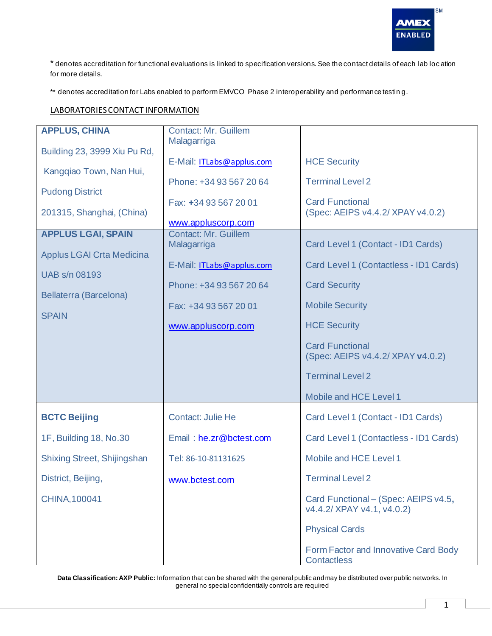

\* denotes accreditation for functional evaluations is linked to specification versions. See the contact details of each lab loc ation for more details.

\*\* denotes accreditation for Labs enabled to perform EMVCO Phase 2 interoperability and performance testing.

## LABORATORIES CONTACT INFORMATION

| <b>APPLUS, CHINA</b><br>Building 23, 3999 Xiu Pu Rd,<br>Kangqiao Town, Nan Hui,<br><b>Pudong District</b><br>201315, Shanghai, (China)<br><b>APPLUS LGAI, SPAIN</b><br><b>Applus LGAI Crta Medicina</b><br><b>UAB s/n 08193</b><br>Bellaterra (Barcelona)<br><b>SPAIN</b> | <b>Contact: Mr. Guillem</b><br>Malagarriga<br>E-Mail: ITLabs@applus.com<br>Phone: +34 93 567 20 64<br>Fax: +34 93 567 20 01<br>www.appluscorp.com<br><b>Contact: Mr. Guillem</b><br>Malagarriga<br>E-Mail: ITLabs@applus.com<br>Phone: +34 93 567 20 64<br>Fax: +34 93 567 20 01<br>www.appluscorp.com | <b>HCE Security</b><br><b>Terminal Level 2</b><br><b>Card Functional</b><br>(Spec: AEIPS v4.4.2/ XPAY v4.0.2)<br>Card Level 1 (Contact - ID1 Cards)<br>Card Level 1 (Contactless - ID1 Cards)<br><b>Card Security</b><br><b>Mobile Security</b><br><b>HCE Security</b><br><b>Card Functional</b><br>(Spec: AEIPS v4.4.2/ XPAY v4.0.2)<br><b>Terminal Level 2</b> |
|---------------------------------------------------------------------------------------------------------------------------------------------------------------------------------------------------------------------------------------------------------------------------|--------------------------------------------------------------------------------------------------------------------------------------------------------------------------------------------------------------------------------------------------------------------------------------------------------|------------------------------------------------------------------------------------------------------------------------------------------------------------------------------------------------------------------------------------------------------------------------------------------------------------------------------------------------------------------|
|                                                                                                                                                                                                                                                                           |                                                                                                                                                                                                                                                                                                        | Mobile and HCE Level 1                                                                                                                                                                                                                                                                                                                                           |
| <b>BCTC Beijing</b>                                                                                                                                                                                                                                                       | <b>Contact: Julie He</b>                                                                                                                                                                                                                                                                               | Card Level 1 (Contact - ID1 Cards)                                                                                                                                                                                                                                                                                                                               |
| 1F, Building 18, No.30                                                                                                                                                                                                                                                    | Email: he.zr@bctest.com                                                                                                                                                                                                                                                                                | Card Level 1 (Contactless - ID1 Cards)                                                                                                                                                                                                                                                                                                                           |
| Shixing Street, Shijingshan                                                                                                                                                                                                                                               | Tel: 86-10-81131625                                                                                                                                                                                                                                                                                    | Mobile and HCE Level 1                                                                                                                                                                                                                                                                                                                                           |
| District, Beijing,                                                                                                                                                                                                                                                        | www.bctest.com                                                                                                                                                                                                                                                                                         | <b>Terminal Level 2</b>                                                                                                                                                                                                                                                                                                                                          |
| <b>CHINA, 100041</b>                                                                                                                                                                                                                                                      |                                                                                                                                                                                                                                                                                                        | Card Functional - (Spec: AEIPS v4.5,<br>v4.4.2/ XPAY v4.1, v4.0.2)<br><b>Physical Cards</b>                                                                                                                                                                                                                                                                      |
|                                                                                                                                                                                                                                                                           |                                                                                                                                                                                                                                                                                                        | Form Factor and Innovative Card Body<br><b>Contactless</b>                                                                                                                                                                                                                                                                                                       |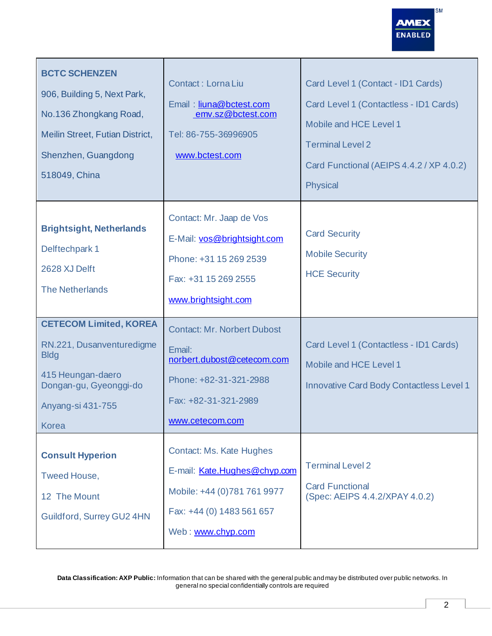

| <b>BCTC SCHENZEN</b><br>906, Building 5, Next Park,<br>No.136 Zhongkang Road,<br>Meilin Street, Futian District,<br>Shenzhen, Guangdong<br>518049, China      | Contact: Lorna Liu<br>Email: liuna@bctest.com<br>emv.sz@bctest.com<br>Tel: 86-755-36996905<br>www.bctest.com                                     | Card Level 1 (Contact - ID1 Cards)<br>Card Level 1 (Contactless - ID1 Cards)<br>Mobile and HCE Level 1<br><b>Terminal Level 2</b><br>Card Functional (AEIPS 4.4.2 / XP 4.0.2)<br><b>Physical</b> |
|---------------------------------------------------------------------------------------------------------------------------------------------------------------|--------------------------------------------------------------------------------------------------------------------------------------------------|--------------------------------------------------------------------------------------------------------------------------------------------------------------------------------------------------|
| <b>Brightsight, Netherlands</b><br>Delftechpark 1<br>2628 XJ Delft<br><b>The Netherlands</b>                                                                  | Contact: Mr. Jaap de Vos<br>E-Mail: vos@brightsight.com<br>Phone: +31 15 269 2539<br>Fax: +31 15 269 2555<br>www.brightsight.com                 | <b>Card Security</b><br><b>Mobile Security</b><br><b>HCE Security</b>                                                                                                                            |
| <b>CETECOM Limited, KOREA</b><br>RN.221, Dusanventuredigme<br><b>Bldg</b><br>415 Heungan-daero<br>Dongan-gu, Gyeonggi-do<br>Anyang-si 431-755<br><b>Korea</b> | <b>Contact: Mr. Norbert Dubost</b><br>Email:<br>norbert.dubost@cetecom.com<br>Phone: +82-31-321-2988<br>Fax: +82-31-321-2989<br>www.cetecom.com  | Card Level 1 (Contactless - ID1 Cards)<br>Mobile and HCE Level 1<br><b>Innovative Card Body Contactless Level 1</b>                                                                              |
| <b>Consult Hyperion</b><br><b>Tweed House,</b><br>12 The Mount<br>Guildford, Surrey GU2 4HN                                                                   | <b>Contact: Ms. Kate Hughes</b><br>E-mail: Kate.Hughes@chyp.com<br>Mobile: +44 (0)781 761 9977<br>Fax: +44 (0) 1483 561 657<br>Web: www.chyp.com | <b>Terminal Level 2</b><br><b>Card Functional</b><br>(Spec: AEIPS 4.4.2/XPAY 4.0.2)                                                                                                              |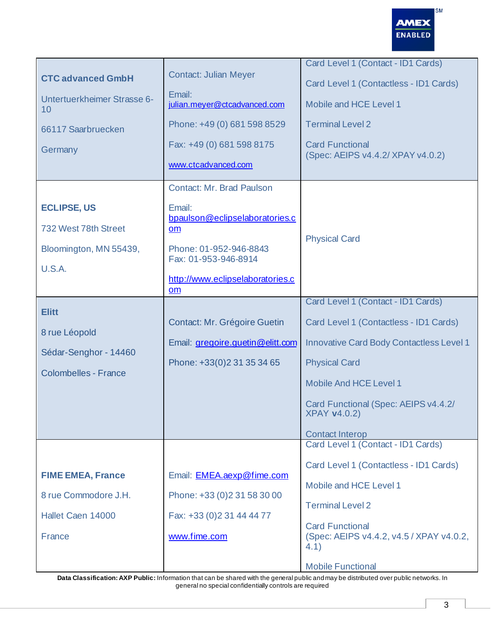

| <b>CTC advanced GmbH</b><br>Untertuerkheimer Strasse 6-<br>10<br>66117 Saarbruecken<br>Germany | <b>Contact: Julian Meyer</b><br>Email:<br>julian.meyer@ctcadvanced.com<br>Phone: +49 (0) 681 598 8529<br>Fax: +49 (0) 681 598 8175 | Card Level 1 (Contact - ID1 Cards)<br>Card Level 1 (Contactless - ID1 Cards)<br>Mobile and HCE Level 1<br><b>Terminal Level 2</b><br><b>Card Functional</b><br>(Spec: AEIPS v4.4.2/ XPAY v4.0.2)                                                                                  |
|------------------------------------------------------------------------------------------------|------------------------------------------------------------------------------------------------------------------------------------|-----------------------------------------------------------------------------------------------------------------------------------------------------------------------------------------------------------------------------------------------------------------------------------|
| <b>ECLIPSE, US</b><br>732 West 78th Street                                                     | www.ctcadvanced.com<br><b>Contact: Mr. Brad Paulson</b><br>Email:<br>bpaulson@eclipselaboratories.c<br>$om$                        |                                                                                                                                                                                                                                                                                   |
| Bloomington, MN 55439,<br><b>U.S.A.</b>                                                        | Phone: 01-952-946-8843<br>Fax: 01-953-946-8914<br>http://www.eclipselaboratories.c<br>om                                           | <b>Physical Card</b>                                                                                                                                                                                                                                                              |
| <b>Elitt</b><br>8 rue Léopold<br>Sédar-Senghor - 14460<br><b>Colombelles - France</b>          | <b>Contact: Mr. Grégoire Guetin</b><br>Email: gregoire.guetin@elitt.com<br>Phone: +33(0)2 31 35 34 65                              | Card Level 1 (Contact - ID1 Cards)<br>Card Level 1 (Contactless - ID1 Cards)<br><b>Innovative Card Body Contactless Level 1</b><br><b>Physical Card</b><br><b>Mobile And HCE Level 1</b><br>Card Functional (Spec: AEIPS v4.4.2/<br><b>XPAY v4.0.2)</b><br><b>Contact Interop</b> |
| <b>FIME EMEA, France</b><br>8 rue Commodore J.H.<br>Hallet Caen 14000<br><b>France</b>         | Email: <b>EMEA.aexp@fime.com</b><br>Phone: +33 (0) 2 31 58 30 00<br>Fax: +33 (0) 2 31 44 44 77<br>www.fime.com                     | Card Level 1 (Contact - ID1 Cards)<br>Card Level 1 (Contactless - ID1 Cards)<br>Mobile and HCE Level 1<br><b>Terminal Level 2</b><br><b>Card Functional</b><br>(Spec: AEIPS v4.4.2, v4.5 / XPAY v4.0.2,<br>4.1)<br><b>Mobile Functional</b>                                       |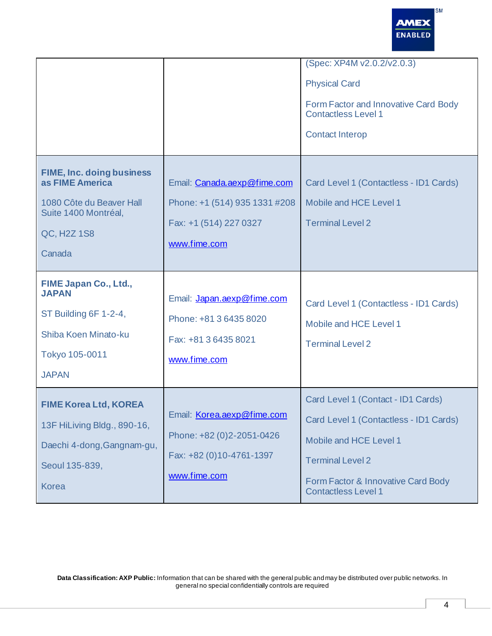

|                                                                                                                                  |                                                                                                            | (Spec: XP4M v2.0.2/v2.0.3)<br><b>Physical Card</b><br>Form Factor and Innovative Card Body<br><b>Contactless Level 1</b><br><b>Contact Interop</b>                                                    |
|----------------------------------------------------------------------------------------------------------------------------------|------------------------------------------------------------------------------------------------------------|-------------------------------------------------------------------------------------------------------------------------------------------------------------------------------------------------------|
| <b>FIME, Inc. doing business</b><br>as FIME America<br>1080 Côte du Beaver Hall<br>Suite 1400 Montréal,<br>QC, H2Z 1S8<br>Canada | Email: Canada.aexp@fime.com<br>Phone: +1 (514) 935 1331 #208<br>Fax: +1 (514) 227 0327<br>www.fime.com     | Card Level 1 (Contactless - ID1 Cards)<br>Mobile and HCE Level 1<br><b>Terminal Level 2</b>                                                                                                           |
| FIME Japan Co., Ltd.,<br><b>JAPAN</b><br>ST Building 6F 1-2-4,<br>Shiba Koen Minato-ku<br>Tokyo 105-0011<br><b>JAPAN</b>         | Email: Japan.aexp@fime.com<br>Phone: +81 3 6435 8020<br>Fax: +81 3 6435 8021<br>www.fime.com               | Card Level 1 (Contactless - ID1 Cards)<br>Mobile and HCE Level 1<br><b>Terminal Level 2</b>                                                                                                           |
| <b>FIME Korea Ltd, KOREA</b><br>13F HiLiving Bldg., 890-16,<br>Daechi 4-dong, Gangnam-gu,<br>Seoul 135-839,<br><b>Korea</b>      | Email: <b>Korea.aexp@fime.com</b><br>Phone: +82 (0)2-2051-0426<br>Fax: +82 (0)10-4761-1397<br>www.fime.com | Card Level 1 (Contact - ID1 Cards)<br>Card Level 1 (Contactless - ID1 Cards)<br>Mobile and HCE Level 1<br><b>Terminal Level 2</b><br>Form Factor & Innovative Card Body<br><b>Contactless Level 1</b> |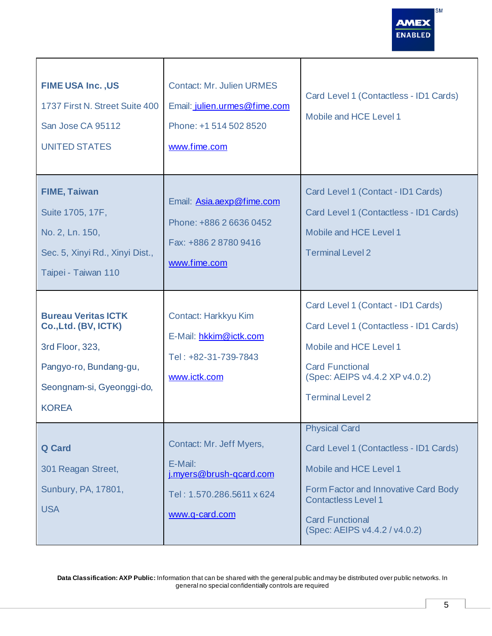

| <b>FIME USA Inc., US</b><br>1737 First N. Street Suite 400<br>San Jose CA 95112<br><b>UNITED STATES</b>                                      | <b>Contact: Mr. Julien URMES</b><br>Email: julien.urmes@fime.com<br>Phone: +1 514 502 8520<br>www.fime.com    | Card Level 1 (Contactless - ID1 Cards)<br>Mobile and HCE Level 1                                                                                                                                                          |
|----------------------------------------------------------------------------------------------------------------------------------------------|---------------------------------------------------------------------------------------------------------------|---------------------------------------------------------------------------------------------------------------------------------------------------------------------------------------------------------------------------|
| <b>FIME, Taiwan</b><br>Suite 1705, 17F,<br>No. 2, Ln. 150,<br>Sec. 5, Xinyi Rd., Xinyi Dist.,<br>Taipei - Taiwan 110                         | Email: Asia.aexp@fime.com<br>Phone: +886 2 6636 0452<br>Fax: +886 2 8780 9416<br>www.fime.com                 | Card Level 1 (Contact - ID1 Cards)<br>Card Level 1 (Contactless - ID1 Cards)<br>Mobile and HCE Level 1<br><b>Terminal Level 2</b>                                                                                         |
| <b>Bureau Veritas ICTK</b><br>Co., Ltd. (BV, ICTK)<br>3rd Floor, 323,<br>Pangyo-ro, Bundang-gu,<br>Seongnam-si, Gyeonggi-do,<br><b>KOREA</b> | Contact: Harkkyu Kim<br>E-Mail: hkkim@ictk.com<br>Tel: +82-31-739-7843<br>www.ictk.com                        | Card Level 1 (Contact - ID1 Cards)<br>Card Level 1 (Contactless - ID1 Cards)<br>Mobile and HCE Level 1<br><b>Card Functional</b><br>(Spec: AEIPS v4.4.2 XP v4.0.2)<br><b>Terminal Level 2</b>                             |
| <b>Q</b> Card<br>301 Reagan Street,<br>Sunbury, PA, 17801,<br><b>USA</b>                                                                     | Contact: Mr. Jeff Myers,<br>E-Mail:<br>i.myers@brush-gcard.com<br>Tel: 1.570.286.5611 x 624<br>www.q-card.com | <b>Physical Card</b><br>Card Level 1 (Contactless - ID1 Cards)<br>Mobile and HCE Level 1<br>Form Factor and Innovative Card Body<br><b>Contactless Level 1</b><br><b>Card Functional</b><br>(Spec: AEIPS v4.4.2 / v4.0.2) |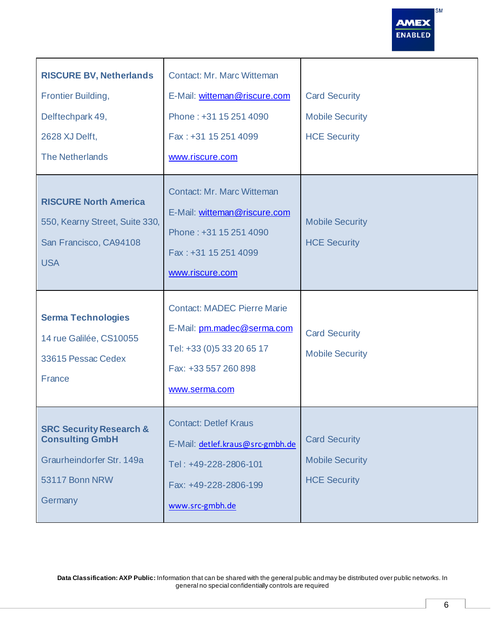

| <b>RISCURE BV, Netherlands</b><br><b>Frontier Building,</b><br>Delftechpark 49,<br>2628 XJ Delft,<br><b>The Netherlands</b> | <b>Contact: Mr. Marc Witteman</b><br>E-Mail: witteman@riscure.com<br>Phone: +31 15 251 4090<br>Fax: +31 15 251 4099<br>www.riscure.com  | <b>Card Security</b><br><b>Mobile Security</b><br><b>HCE Security</b> |
|-----------------------------------------------------------------------------------------------------------------------------|-----------------------------------------------------------------------------------------------------------------------------------------|-----------------------------------------------------------------------|
| <b>RISCURE North America</b><br>550, Kearny Street, Suite 330,<br>San Francisco, CA94108<br><b>USA</b>                      | <b>Contact: Mr. Marc Witteman</b><br>E-Mail: witteman@riscure.com<br>Phone: +31 15 251 4090<br>Fax: +31 15 251 4099<br>www.riscure.com  | <b>Mobile Security</b><br><b>HCE Security</b>                         |
| <b>Serma Technologies</b><br>14 rue Galilée, CS10055<br>33615 Pessac Cedex<br>France                                        | <b>Contact: MADEC Pierre Marie</b><br>E-Mail: pm.madec@serma.com<br>Tel: +33 (0) 5 33 20 65 17<br>Fax: +33 557 260 898<br>www.serma.com | <b>Card Security</b><br><b>Mobile Security</b>                        |
| <b>SRC Security Research &amp;</b><br><b>Consulting GmbH</b><br>Graurheindorfer Str. 149a<br>53117 Bonn NRW<br>Germany      | <b>Contact: Detlef Kraus</b><br>E-Mail: detlef.kraus@src-gmbh.de<br>Tel: +49-228-2806-101<br>Fax: +49-228-2806-199<br>www.src-gmbh.de   | <b>Card Security</b><br><b>Mobile Security</b><br><b>HCE Security</b> |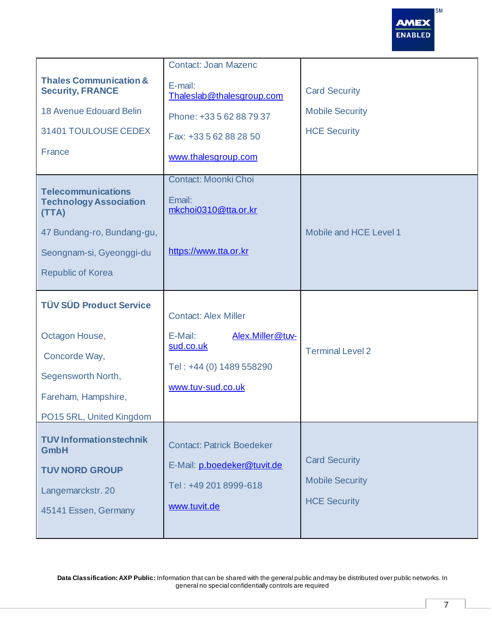

|                                                                                                                                                           | <b>Contact: Joan Mazenc</b>                                                                                              |                                                                       |
|-----------------------------------------------------------------------------------------------------------------------------------------------------------|--------------------------------------------------------------------------------------------------------------------------|-----------------------------------------------------------------------|
| <b>Thales Communication &amp;</b><br><b>Security, FRANCE</b>                                                                                              | E-mail:<br>Thaleslab@thalesgroup.com                                                                                     | <b>Card Security</b>                                                  |
| <b>18 Avenue Edouard Belin</b>                                                                                                                            | Phone: +33 5 62 88 79 37                                                                                                 | <b>Mobile Security</b>                                                |
| 31401 TOULOUSE CEDEX                                                                                                                                      | Fax: +33 5 62 88 28 50                                                                                                   | <b>HCE Security</b>                                                   |
| France                                                                                                                                                    | www.thalesgroup.com                                                                                                      |                                                                       |
| <b>Telecommunications</b><br><b>Technology Association</b><br>(TTA)<br>47 Bundang-ro, Bundang-gu,<br>Seongnam-si, Gyeonggi-du<br><b>Republic of Korea</b> | <b>Contact: Moonki Choi</b><br>Email:<br>mkchoi0310@tta.or.kr<br>https://www.tta.or.kr                                   | Mobile and HCE Level 1                                                |
| <b>TÜV SÜD Product Service</b><br>Octagon House,<br>Concorde Way,<br>Segensworth North,<br>Fareham, Hampshire,<br>PO15 5RL, United Kingdom                | <b>Contact: Alex Miller</b><br>E-Mail:<br>Alex.Miller@tuv-<br>sud.co.uk<br>Tel: +44 (0) 1489 558290<br>www.tuv-sud.co.uk | <b>Terminal Level 2</b>                                               |
| <b>TUV Informationstechnik</b><br><b>GmbH</b><br><b>TUV NORD GROUP</b><br>Langemarckstr. 20<br>45141 Essen, Germany                                       | <b>Contact: Patrick Boedeker</b><br>E-Mail: p.boedeker@tuvit.de<br>Tel: +49 201 8999-618<br>www.tuvit.de                 | <b>Card Security</b><br><b>Mobile Security</b><br><b>HCE Security</b> |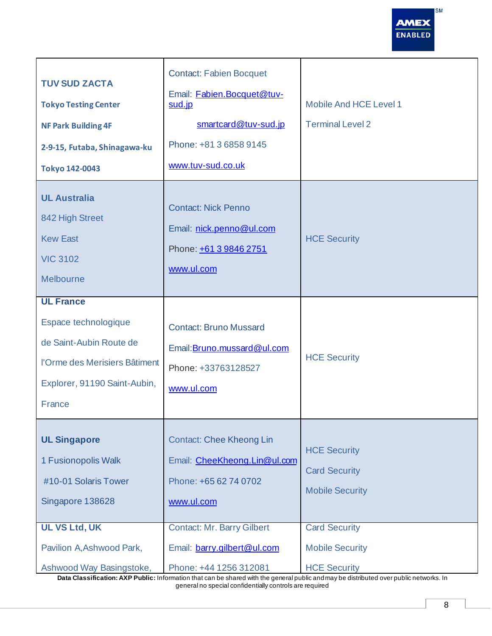**SM AMEX** ENABLED

| <b>TUV SUD ZACTA</b><br><b>Tokyo Testing Center</b><br><b>NF Park Building 4F</b><br>2-9-15, Futaba, Shinagawa-ku<br><b>Tokyo 142-0043</b>     | <b>Contact: Fabien Bocquet</b><br>Email: Fabien.Bocquet@tuv-<br>sud.jp<br>smartcard@tuv-sud.jp<br>Phone: +81 3 6858 9145<br>www.tuv-sud.co.uk | Mobile And HCE Level 1<br><b>Terminal Level 2</b>                     |
|------------------------------------------------------------------------------------------------------------------------------------------------|-----------------------------------------------------------------------------------------------------------------------------------------------|-----------------------------------------------------------------------|
| <b>UL Australia</b><br>842 High Street<br><b>Kew East</b><br><b>VIC 3102</b><br>Melbourne                                                      | <b>Contact: Nick Penno</b><br>Email: nick.penno@ul.com<br>Phone: +61 3 9846 2751<br>www.ul.com                                                | <b>HCE Security</b>                                                   |
| <b>UL France</b><br>Espace technologique<br>de Saint-Aubin Route de<br>l'Orme des Merisiers Bâtiment<br>Explorer, 91190 Saint-Aubin,<br>France | <b>Contact: Bruno Mussard</b><br>Email: Bruno.mussard@ul.com<br>Phone: +33763128527<br>www.ul.com                                             | <b>HCE Security</b>                                                   |
| <b>UL Singapore</b><br>1 Fusionopolis Walk<br>#10-01 Solaris Tower<br>Singapore 138628                                                         | <b>Contact: Chee Kheong Lin</b><br>Email: CheeKheong.Lin@ul.com<br>Phone: +65 62 74 0702<br>www.ul.com                                        | <b>HCE Security</b><br><b>Card Security</b><br><b>Mobile Security</b> |
| <b>UL VS Ltd, UK</b><br>Pavilion A, Ashwood Park,<br>Ashwood Way Basingstoke,                                                                  | <b>Contact: Mr. Barry Gilbert</b><br>Email: barry.gilbert@ul.com<br>Phone: +44 1256 312081                                                    | <b>Card Security</b><br><b>Mobile Security</b><br><b>HCE Security</b> |